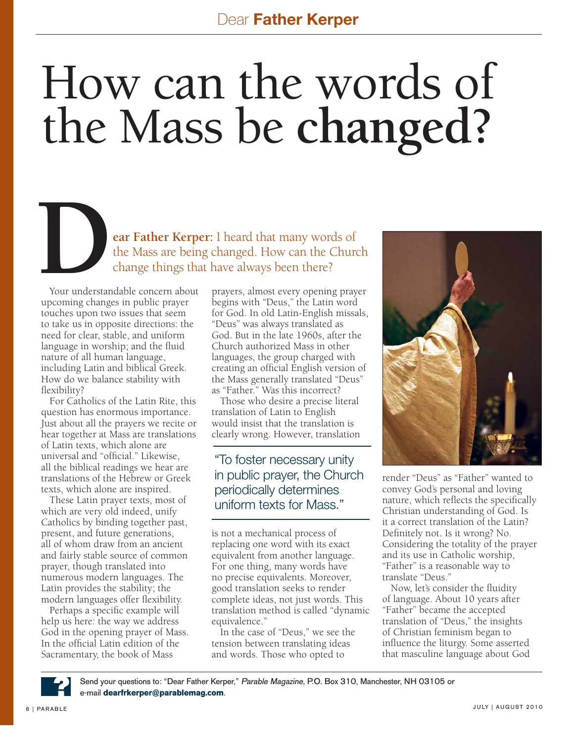## How can the words of the Mass be **changed?**

**Example 24 Father Kerper:** I heard that many words of the Mass are being changed. How can the Church<br>change things that have always been there?<br>Your understandable concern about prayers, almost every opening pray the Mass are being changed. How can the Church change things that have always been there?

Your understandable concern about upcoming changes in public prayer touches upon two issues that seem to take us in opposite directions: the need for clear, stable, and uniform language in worship; and the fluid nature of all human language, including Latin and biblical Greek. How do we balance stability with flexibility?

For Catholics of the Latin Rite, this question has enormous importance. Just about all the prayers we recite or hear together at Mass are translations of Latin texts, which alone are universal and "official." Likewise, all the biblical readings we hear are translations of the Hebrew or Greek texts, which alone are inspired.

These Latin prayer texts, most of which are very old indeed, unify Catholics by binding together past, present, and future generations, all of whom draw from an ancient and fairly stable source of common prayer, though translated into numerous modern languages. The Latin provides the stability; the modern languages offer flexibility.

Perhaps a specific example will help us here: the way we address God in the opening prayer of Mass. In the official Latin edition of the Sacramentary, the book of Mass

prayers, almost every opening prayer begins with "Deus," the Latin word for God. In old Latin-English missals, "Deus" was always translated as God. But in the late 1960s, after the Church authorized Mass in other languages, the group charged with creating an official English version of the Mass generally translated "Deus" as "Father." Was this incorrect?

Those who desire a precise literal translation of Latin to English would insist that the translation is clearly wrong. However, translation

## "To foster necessary unity in public prayer, the Church periodically determines uniform texts for Mass."

is not a mechanical process of replacing one word with its exact equivalent from another language. For one thing, many words have no precise equivalents. Moreover, good translation seeks to render complete ideas, not just words. This translation method is called "dynamic equivalence."

In the case of "Deus," we see the tension between translating ideas and words. Those who opted to



render "Deus" as "Father" wanted to convey God's personal and loving nature, which reflects the specifically Christian understanding of God. Is it a correct translation of the Latin? Definitely not. Is it wrong? No. Considering the totality of the prayer and its use in Catholic worship, "Father" is a reasonable way to translate "Deus."

Now, let's consider the fluidity of language. About 10 years after "Father" became the accepted translation of "Deus," the insights of Christian feminism began to influence the liturgy. Some asserted that masculine language about God



Send your questions to: "Dear Father Kerper," Parable Magazine, P.O. Box 310, Manchester, NH 03105 or e-mail **dearfrkerper@parablemag.com**.